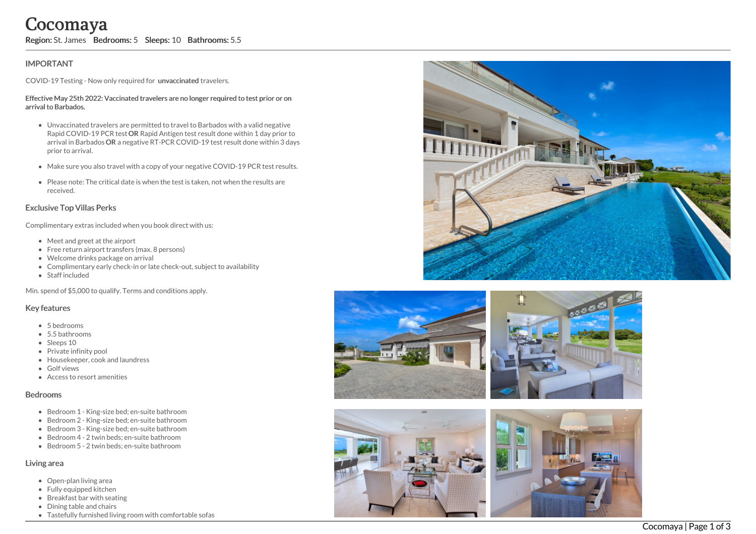# **IMPORTANT**

COVID-19 Testing - Now only required for unvaccinated travelers.

#### Effective May 25th 2022: Vaccinated travelers are no longer required to test prior or on arrival to Barbados.

- Unvaccinated travelers are permitted to travel to Barbados with a valid negative Rapid COVID-19 PCR test OR Rapid Antigen test result done within 1 day prior to arrival in Barbados OR a negative RT-PCR COVID-19 test result done within 3 days prior to arrival. Correction: St. James Bedrooms: 5 Sleeps: 10 Bathrooms: 5.5<br>
IMPORTANT<br>
COVID-19 Testing - Now only required for unvaccinated travelers.<br>
Effective May 25th 2022: Vaccinated travelers are no longer required to<br>
arrival to
	- Make sure you also travel with a copy of your negative COVID-19 PCR test results.
	- Please note: The critical date is when the test is taken, not when the results are received.

## Exclusive Top Villas Perks

Complimentary extras included when you book direct with us:

- Meet and greet at the airport
- Free return airport transfers (max. 8 persons)
- Welcome drinks package on arrival
- Complimentary early check-in or late check-out, subject to availability
- Staff included

Min. spend of \$5,000 to qualify. Terms and conditions apply.

## Key features

- 5 bedrooms
- 5.5 bathrooms
- Sleeps 10
- Private infinity pool
- Housekeeper, cook and laundress
- **•** Golf views
- Access to resort amenities

## Bedrooms

- Bedroom 1 King-size bed; en-suite bathroom
- Bedroom 2 King-size bed; en-suite bathroom
- Bedroom 3 King-size bed; en-suite bathroom
- Bedroom 4 2 twin beds; en-suite bathroom
- Bedroom 5 2 twin beds; en-suite bathroom

# Living area

- Open-plan living area
- Fully equipped kitchen
- Breakfast bar with seating
- Dining table and chairs
- 









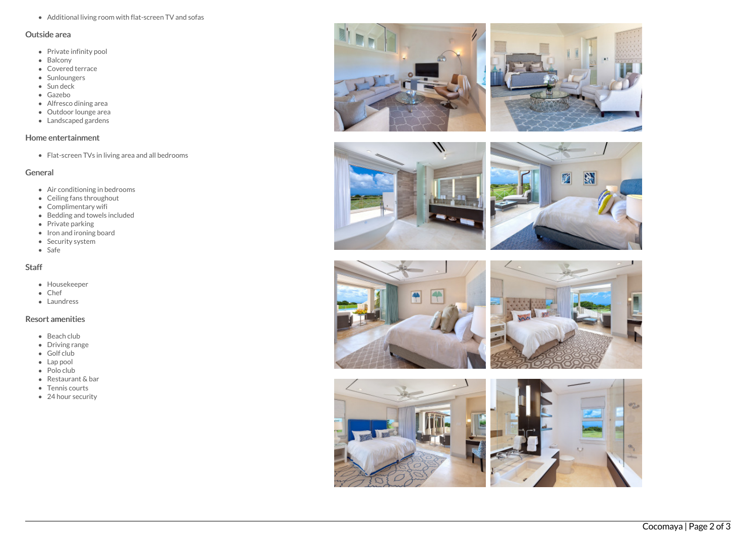Additional living room with flat-screen TV and sofas

#### Outside area

- Private infinity pool
- Balcony
- Covered terrace
- Sunloungers
- Sun deck
- Gazebo
- Alfresco dining area
- Outdoor lounge are a
- Landscaped gardens

## Home entertainment

Flat-screen TVs in living area and all bedrooms

## General

- Air conditioning in bedrooms
- Ceiling fans throughout
- Complimentary wifi
- Bedding and towels in clu d e d
- Private parking
- Iron and ironing board
- Security system
- S a f e

# S t a f f

- Housekeeper
- C h e f
- Laundress

# Resort amenities

- B e a c h clu b
- Driving range
- G olf clu b
- Lap pool
- Polo club
- Restaurant & bar
- Tennis courts
- 24 hour security